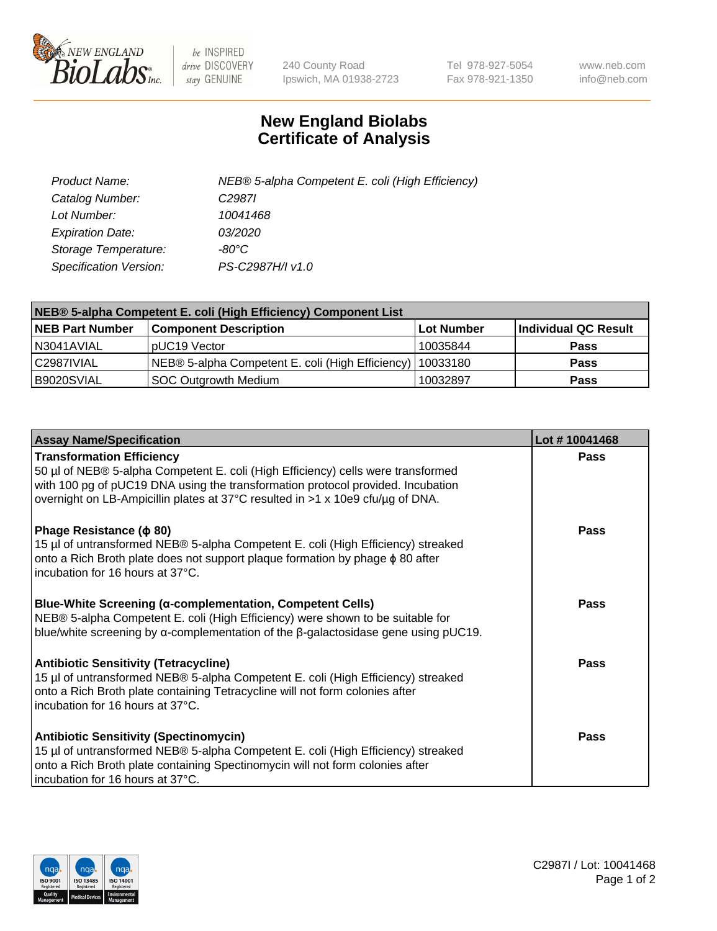

 $be$  INSPIRED drive DISCOVERY stay GENUINE

240 County Road Ipswich, MA 01938-2723 Tel 978-927-5054 Fax 978-921-1350 www.neb.com info@neb.com

## **New England Biolabs Certificate of Analysis**

| Product Name:           | NEB® 5-alpha Competent E. coli (High Efficiency) |
|-------------------------|--------------------------------------------------|
| Catalog Number:         | C <sub>2987</sub>                                |
| Lot Number:             | 10041468                                         |
| <b>Expiration Date:</b> | <i>03/2020</i>                                   |
| Storage Temperature:    | -80°C                                            |
| Specification Version:  | PS-C2987H/I v1.0                                 |

| NEB® 5-alpha Competent E. coli (High Efficiency) Component List |                                                  |                   |                      |  |
|-----------------------------------------------------------------|--------------------------------------------------|-------------------|----------------------|--|
| <b>NEB Part Number</b>                                          | <b>Component Description</b>                     | <b>Lot Number</b> | Individual QC Result |  |
| N3041AVIAL                                                      | pUC19 Vector                                     | 10035844          | <b>Pass</b>          |  |
| C2987IVIAL                                                      | NEB® 5-alpha Competent E. coli (High Efficiency) | 10033180          | <b>Pass</b>          |  |
| B9020SVIAL                                                      | <b>SOC Outgrowth Medium</b>                      | 10032897          | <b>Pass</b>          |  |

| <b>Assay Name/Specification</b>                                                                                                                                                                                                                                                           | Lot #10041468 |
|-------------------------------------------------------------------------------------------------------------------------------------------------------------------------------------------------------------------------------------------------------------------------------------------|---------------|
| <b>Transformation Efficiency</b><br>50 µl of NEB® 5-alpha Competent E. coli (High Efficiency) cells were transformed<br>with 100 pg of pUC19 DNA using the transformation protocol provided. Incubation<br>overnight on LB-Ampicillin plates at 37°C resulted in >1 x 10e9 cfu/µg of DNA. | <b>Pass</b>   |
| Phage Resistance ( $\phi$ 80)<br>15 µl of untransformed NEB® 5-alpha Competent E. coli (High Efficiency) streaked<br>onto a Rich Broth plate does not support plaque formation by phage $\phi$ 80 after<br>incubation for 16 hours at 37°C.                                               | Pass          |
| Blue-White Screening (α-complementation, Competent Cells)<br>NEB® 5-alpha Competent E. coli (High Efficiency) were shown to be suitable for<br>blue/white screening by $\alpha$ -complementation of the $\beta$ -galactosidase gene using pUC19.                                          | <b>Pass</b>   |
| <b>Antibiotic Sensitivity (Tetracycline)</b><br>15 µl of untransformed NEB® 5-alpha Competent E. coli (High Efficiency) streaked<br>onto a Rich Broth plate containing Tetracycline will not form colonies after<br>incubation for 16 hours at 37°C.                                      | Pass          |
| <b>Antibiotic Sensitivity (Spectinomycin)</b><br>15 µl of untransformed NEB® 5-alpha Competent E. coli (High Efficiency) streaked<br>onto a Rich Broth plate containing Spectinomycin will not form colonies after<br>incubation for 16 hours at 37°C.                                    | Pass          |